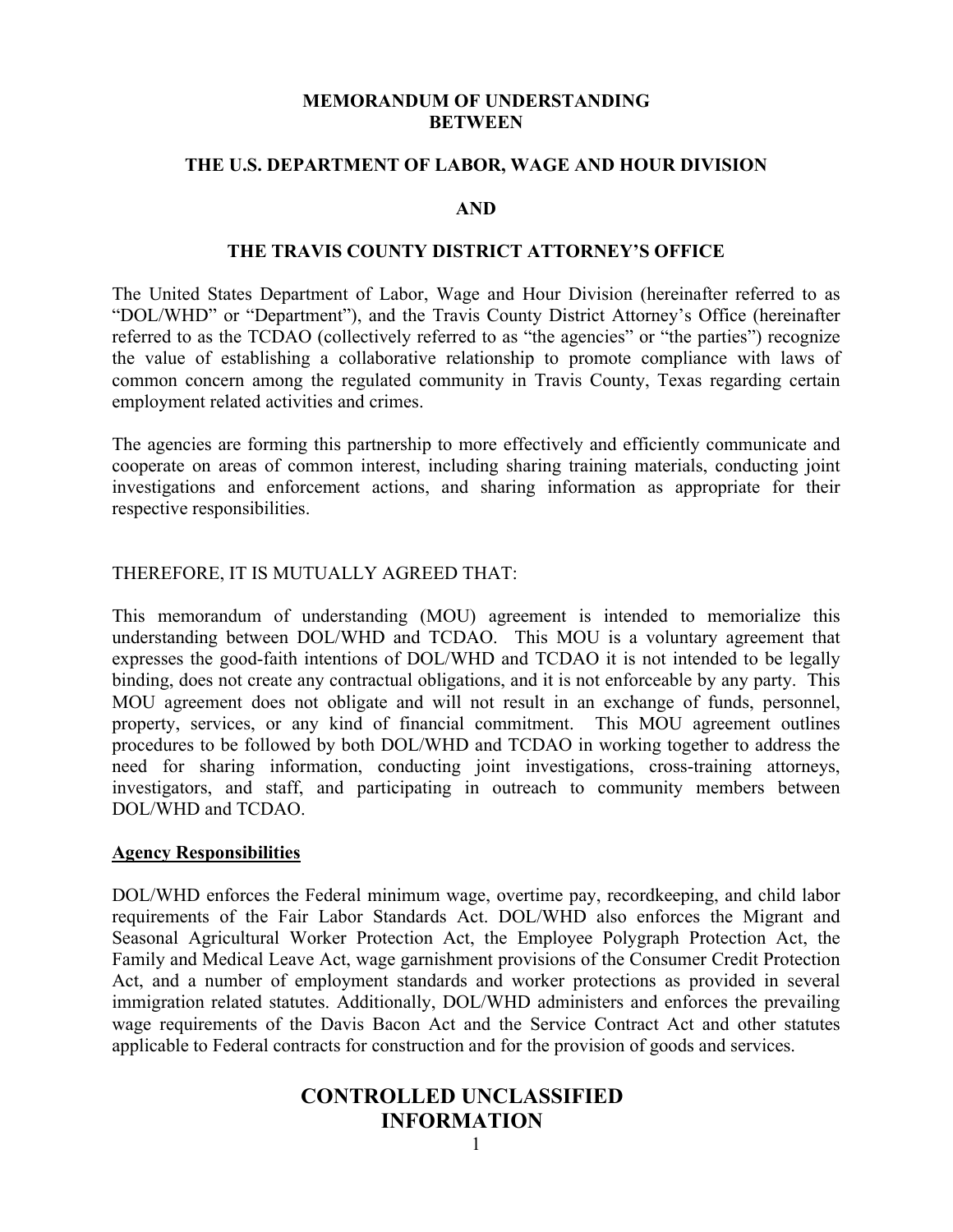#### **MEMORANDUM OF UNDERSTANDING BETWEEN**

#### **THE U.S. DEPARTMENT OF LABOR, WAGE AND HOUR DIVISION**

#### **AND**

#### **THE TRAVIS COUNTY DISTRICT ATTORNEY'S OFFICE**

The United States Department of Labor, Wage and Hour Division (hereinafter referred to as "DOL/WHD" or "Department"), and the Travis County District Attorney's Office (hereinafter referred to as the TCDAO (collectively referred to as "the agencies" or "the parties") recognize the value of establishing a collaborative relationship to promote compliance with laws of common concern among the regulated community in Travis County, Texas regarding certain employment related activities and crimes.

The agencies are forming this partnership to more effectively and efficiently communicate and cooperate on areas of common interest, including sharing training materials, conducting joint investigations and enforcement actions, and sharing information as appropriate for their respective responsibilities.

#### THEREFORE, IT IS MUTUALLY AGREED THAT:

This memorandum of understanding (MOU) agreement is intended to memorialize this understanding between DOL/WHD and TCDAO. This MOU is a voluntary agreement that expresses the good-faith intentions of DOL/WHD and TCDAO it is not intended to be legally binding, does not create any contractual obligations, and it is not enforceable by any party. This MOU agreement does not obligate and will not result in an exchange of funds, personnel, property, services, or any kind of financial commitment. This MOU agreement outlines procedures to be followed by both DOL/WHD and TCDAO in working together to address the need for sharing information, conducting joint investigations, cross-training attorneys, investigators, and staff, and participating in outreach to community members between DOL/WHD and TCDAO.

#### **Agency Responsibilities**

DOL/WHD enforces the Federal minimum wage, overtime pay, recordkeeping, and child labor requirements of the Fair Labor Standards Act. DOL/WHD also enforces the Migrant and Seasonal Agricultural Worker Protection Act, the Employee Polygraph Protection Act, the Family and Medical Leave Act, wage garnishment provisions of the Consumer Credit Protection Act, and a number of employment standards and worker protections as provided in several immigration related statutes. Additionally, DOL/WHD administers and enforces the prevailing wage requirements of the Davis Bacon Act and the Service Contract Act and other statutes applicable to Federal contracts for construction and for the provision of goods and services.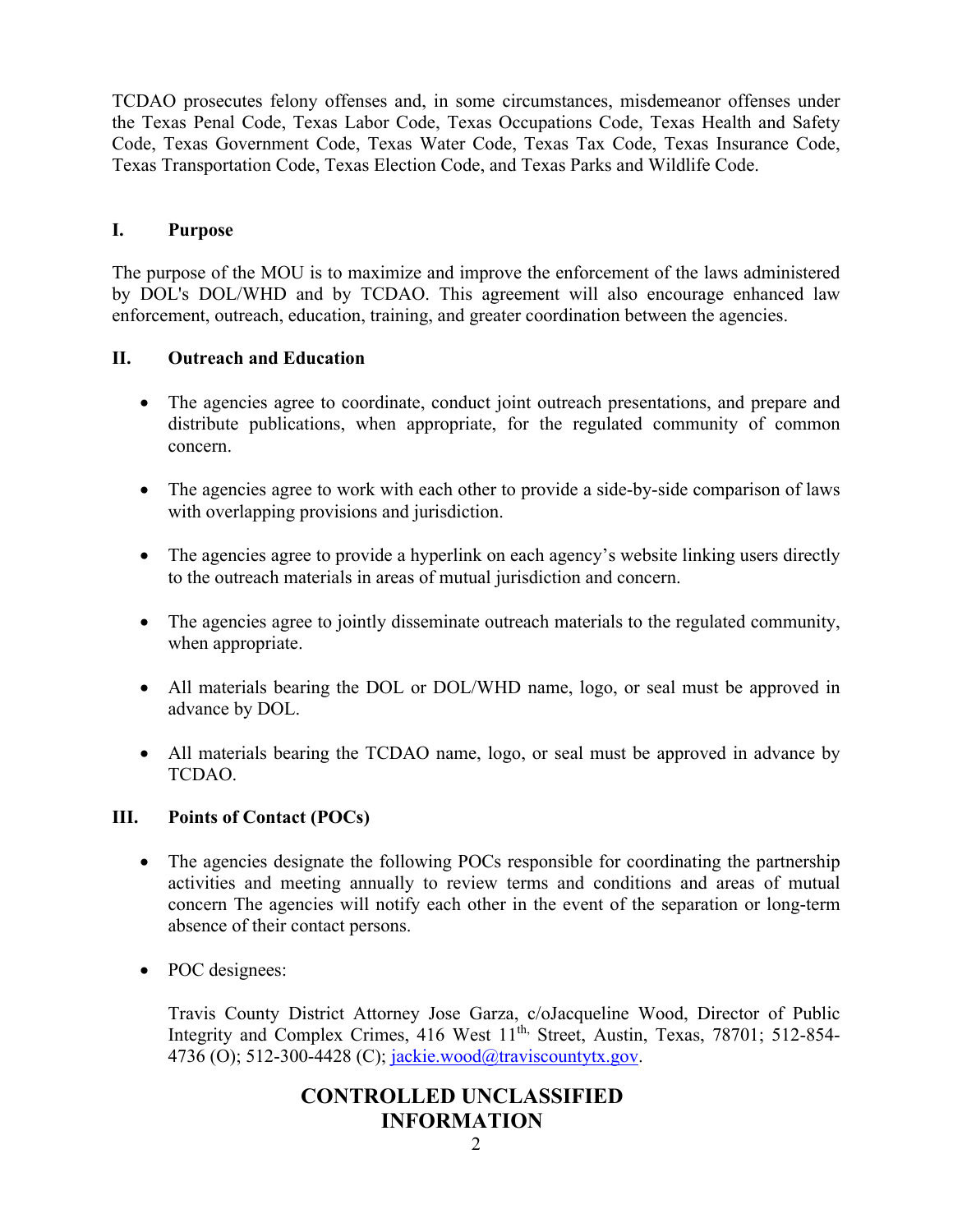TCDAO prosecutes felony offenses and, in some circumstances, misdemeanor offenses under the Texas Penal Code, Texas Labor Code, Texas Occupations Code, Texas Health and Safety Code, Texas Government Code, Texas Water Code, Texas Tax Code, Texas Insurance Code, Texas Transportation Code, Texas Election Code, and Texas Parks and Wildlife Code.

### **I. Purpose**

The purpose of the MOU is to maximize and improve the enforcement of the laws administered by DOL's DOL/WHD and by TCDAO. This agreement will also encourage enhanced law enforcement, outreach, education, training, and greater coordination between the agencies.

### **II. Outreach and Education**

- The agencies agree to coordinate, conduct joint outreach presentations, and prepare and distribute publications, when appropriate, for the regulated community of common concern.
- The agencies agree to work with each other to provide a side-by-side comparison of laws with overlapping provisions and jurisdiction.
- The agencies agree to provide a hyperlink on each agency's website linking users directly to the outreach materials in areas of mutual jurisdiction and concern.
- The agencies agree to jointly disseminate outreach materials to the regulated community, when appropriate.
- All materials bearing the DOL or DOL/WHD name, logo, or seal must be approved in advance by DOL.
- All materials bearing the TCDAO name, logo, or seal must be approved in advance by TCDAO.

#### **III. Points of Contact (POCs)**

- The agencies designate the following POCs responsible for coordinating the partnership activities and meeting annually to review terms and conditions and areas of mutual concern The agencies will notify each other in the event of the separation or long-term absence of their contact persons.
- POC designees:

Travis County District Attorney Jose Garza, c/oJacqueline Wood, Director of Public Integrity and Complex Crimes, 416 West 11<sup>th,</sup> Street, Austin, Texas, 78701; 512-854-4736 (O); 512-300-4428 (C); [jackie.wood@traviscountytx.gov.](mailto:jackie.wood@traviscountytx.gov)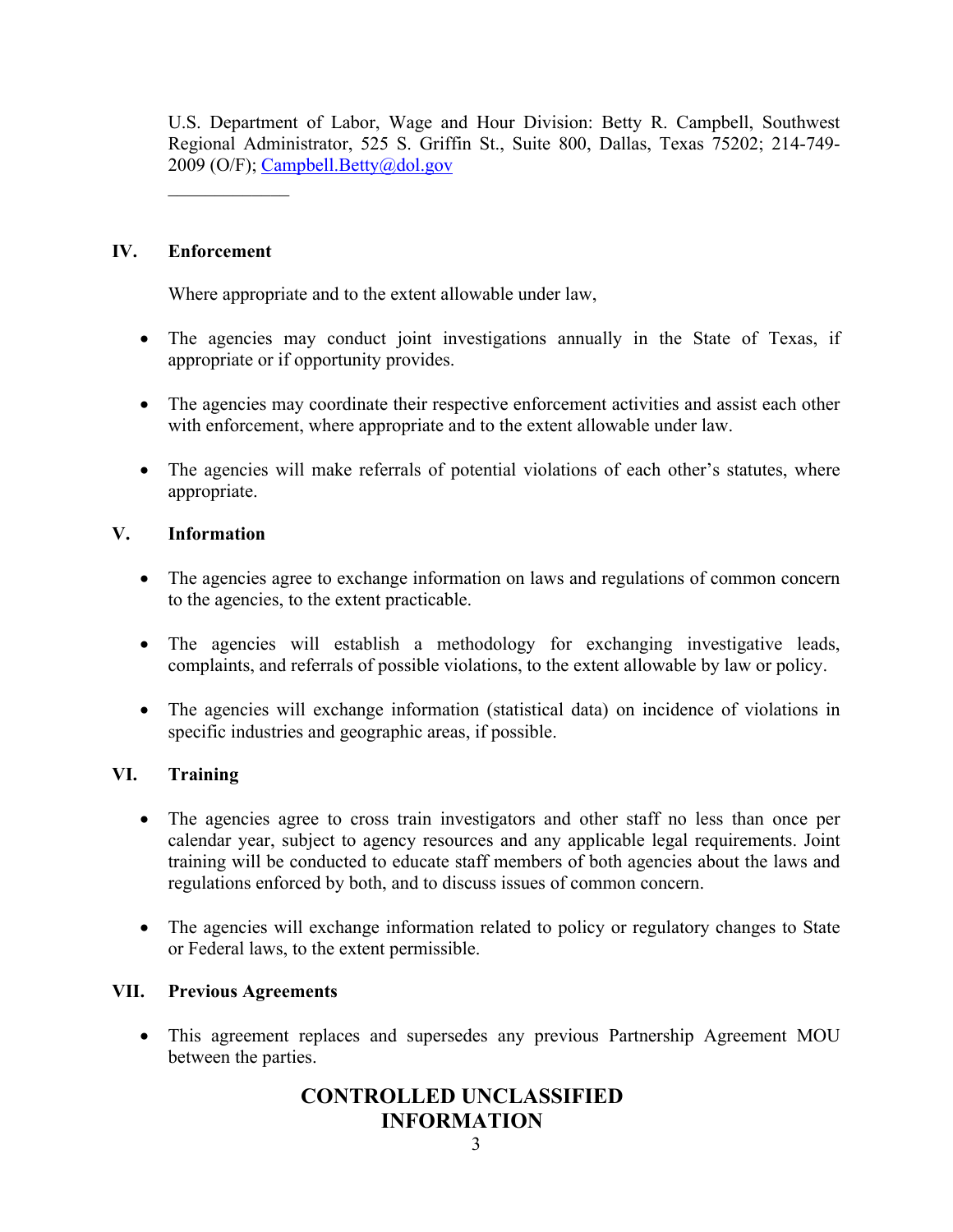U.S. Department of Labor, Wage and Hour Division: Betty R. Campbell, Southwest Regional Administrator, 525 S. Griffin St., Suite 800, Dallas, Texas 75202; 214-749- 2009 (O/F); [Campbell.Betty@dol.gov](mailto:Campbell.Betty@dol.gov)

### **IV. Enforcement**

 $\mathcal{L}_\text{max}$ 

Where appropriate and to the extent allowable under law,

- The agencies may conduct joint investigations annually in the State of Texas, if appropriate or if opportunity provides.
- The agencies may coordinate their respective enforcement activities and assist each other with enforcement, where appropriate and to the extent allowable under law.
- The agencies will make referrals of potential violations of each other's statutes, where appropriate.

## **V. Information**

- The agencies agree to exchange information on laws and regulations of common concern to the agencies, to the extent practicable.
- The agencies will establish a methodology for exchanging investigative leads, complaints, and referrals of possible violations, to the extent allowable by law or policy.
- The agencies will exchange information (statistical data) on incidence of violations in specific industries and geographic areas, if possible.

## **VI. Training**

- The agencies agree to cross train investigators and other staff no less than once per calendar year, subject to agency resources and any applicable legal requirements. Joint training will be conducted to educate staff members of both agencies about the laws and regulations enforced by both, and to discuss issues of common concern.
- The agencies will exchange information related to policy or regulatory changes to State or Federal laws, to the extent permissible.

## **VII. Previous Agreements**

• This agreement replaces and supersedes any previous Partnership Agreement MOU between the parties.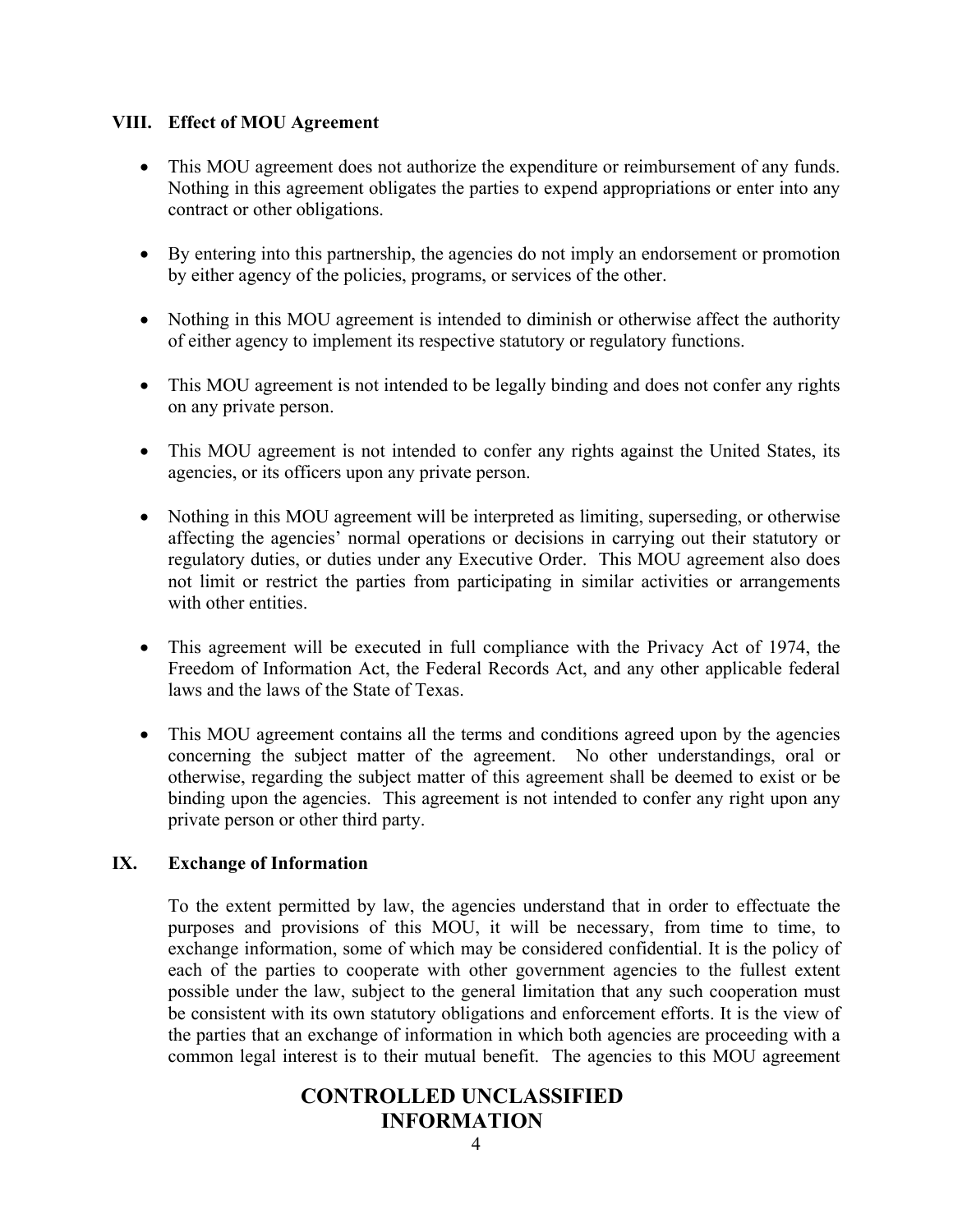### **VIII. Effect of MOU Agreement**

- This MOU agreement does not authorize the expenditure or reimbursement of any funds. Nothing in this agreement obligates the parties to expend appropriations or enter into any contract or other obligations.
- By entering into this partnership, the agencies do not imply an endorsement or promotion by either agency of the policies, programs, or services of the other.
- Nothing in this MOU agreement is intended to diminish or otherwise affect the authority of either agency to implement its respective statutory or regulatory functions.
- This MOU agreement is not intended to be legally binding and does not confer any rights on any private person.
- This MOU agreement is not intended to confer any rights against the United States, its agencies, or its officers upon any private person.
- Nothing in this MOU agreement will be interpreted as limiting, superseding, or otherwise affecting the agencies' normal operations or decisions in carrying out their statutory or regulatory duties, or duties under any Executive Order. This MOU agreement also does not limit or restrict the parties from participating in similar activities or arrangements with other entities.
- This agreement will be executed in full compliance with the Privacy Act of 1974, the Freedom of Information Act, the Federal Records Act, and any other applicable federal laws and the laws of the State of Texas.
- This MOU agreement contains all the terms and conditions agreed upon by the agencies concerning the subject matter of the agreement. No other understandings, oral or otherwise, regarding the subject matter of this agreement shall be deemed to exist or be binding upon the agencies. This agreement is not intended to confer any right upon any private person or other third party.

## **IX. Exchange of Information**

To the extent permitted by law, the agencies understand that in order to effectuate the purposes and provisions of this MOU, it will be necessary, from time to time, to exchange information, some of which may be considered confidential. It is the policy of each of the parties to cooperate with other government agencies to the fullest extent possible under the law, subject to the general limitation that any such cooperation must be consistent with its own statutory obligations and enforcement efforts. It is the view of the parties that an exchange of information in which both agencies are proceeding with a common legal interest is to their mutual benefit. The agencies to this MOU agreement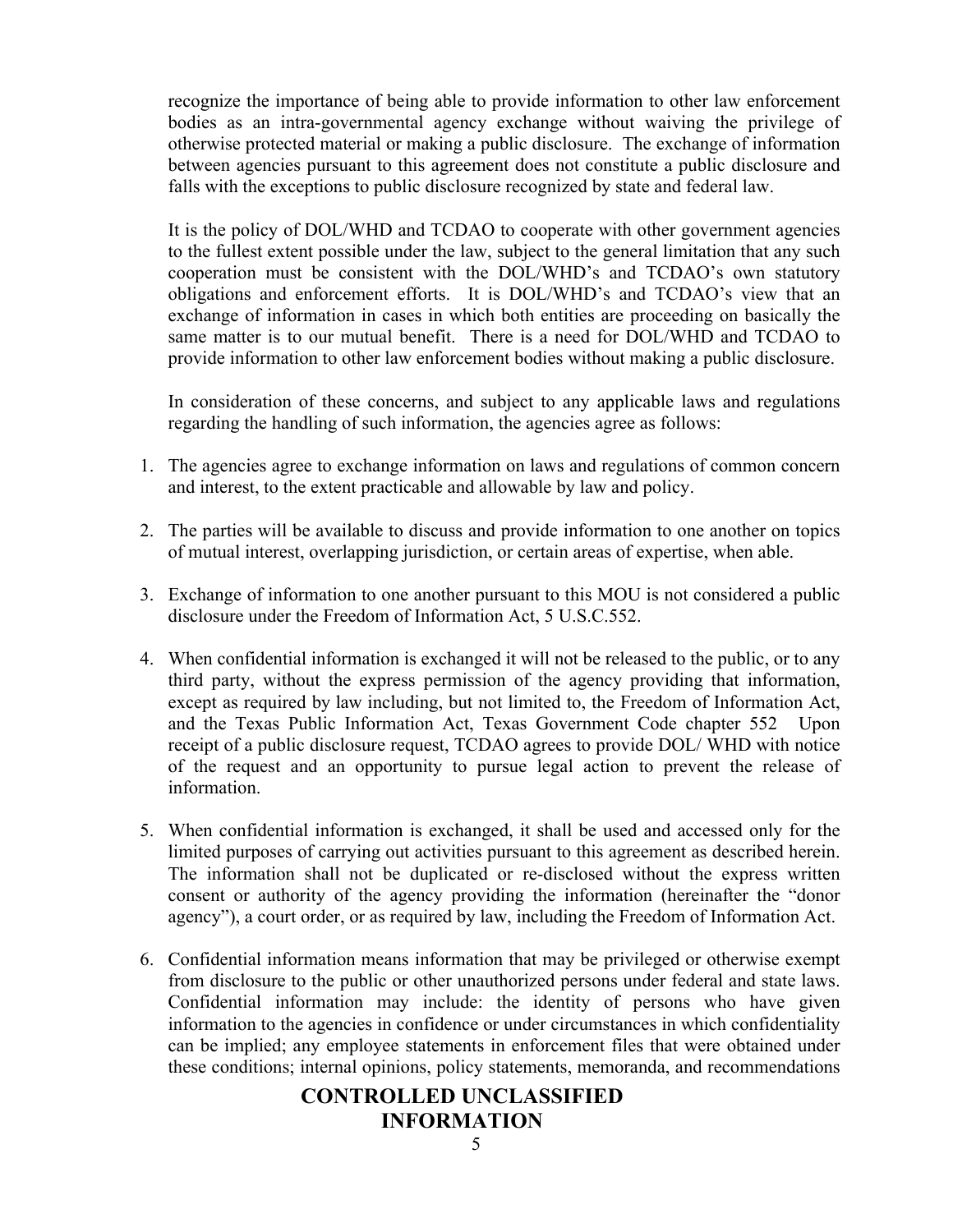recognize the importance of being able to provide information to other law enforcement bodies as an intra-governmental agency exchange without waiving the privilege of otherwise protected material or making a public disclosure. The exchange of information between agencies pursuant to this agreement does not constitute a public disclosure and falls with the exceptions to public disclosure recognized by state and federal law.

It is the policy of DOL/WHD and TCDAO to cooperate with other government agencies to the fullest extent possible under the law, subject to the general limitation that any such cooperation must be consistent with the DOL/WHD's and TCDAO's own statutory obligations and enforcement efforts. It is DOL/WHD's and TCDAO's view that an exchange of information in cases in which both entities are proceeding on basically the same matter is to our mutual benefit. There is a need for DOL/WHD and TCDAO to provide information to other law enforcement bodies without making a public disclosure.

In consideration of these concerns, and subject to any applicable laws and regulations regarding the handling of such information, the agencies agree as follows:

- 1. The agencies agree to exchange information on laws and regulations of common concern and interest, to the extent practicable and allowable by law and policy.
- 2. The parties will be available to discuss and provide information to one another on topics of mutual interest, overlapping jurisdiction, or certain areas of expertise, when able.
- 3. Exchange of information to one another pursuant to this MOU is not considered a public disclosure under the Freedom of Information Act, 5 U.S.C.552.
- 4. When confidential information is exchanged it will not be released to the public, or to any third party, without the express permission of the agency providing that information, except as required by law including, but not limited to, the Freedom of Information Act, and the Texas Public Information Act, Texas Government Code chapter 552 Upon receipt of a public disclosure request, TCDAO agrees to provide DOL/ WHD with notice of the request and an opportunity to pursue legal action to prevent the release of information.
- 5. When confidential information is exchanged, it shall be used and accessed only for the limited purposes of carrying out activities pursuant to this agreement as described herein. The information shall not be duplicated or re-disclosed without the express written consent or authority of the agency providing the information (hereinafter the "donor agency"), a court order, or as required by law, including the Freedom of Information Act.
- 6. Confidential information means information that may be privileged or otherwise exempt from disclosure to the public or other unauthorized persons under federal and state laws. Confidential information may include: the identity of persons who have given information to the agencies in confidence or under circumstances in which confidentiality can be implied; any employee statements in enforcement files that were obtained under these conditions; internal opinions, policy statements, memoranda, and recommendations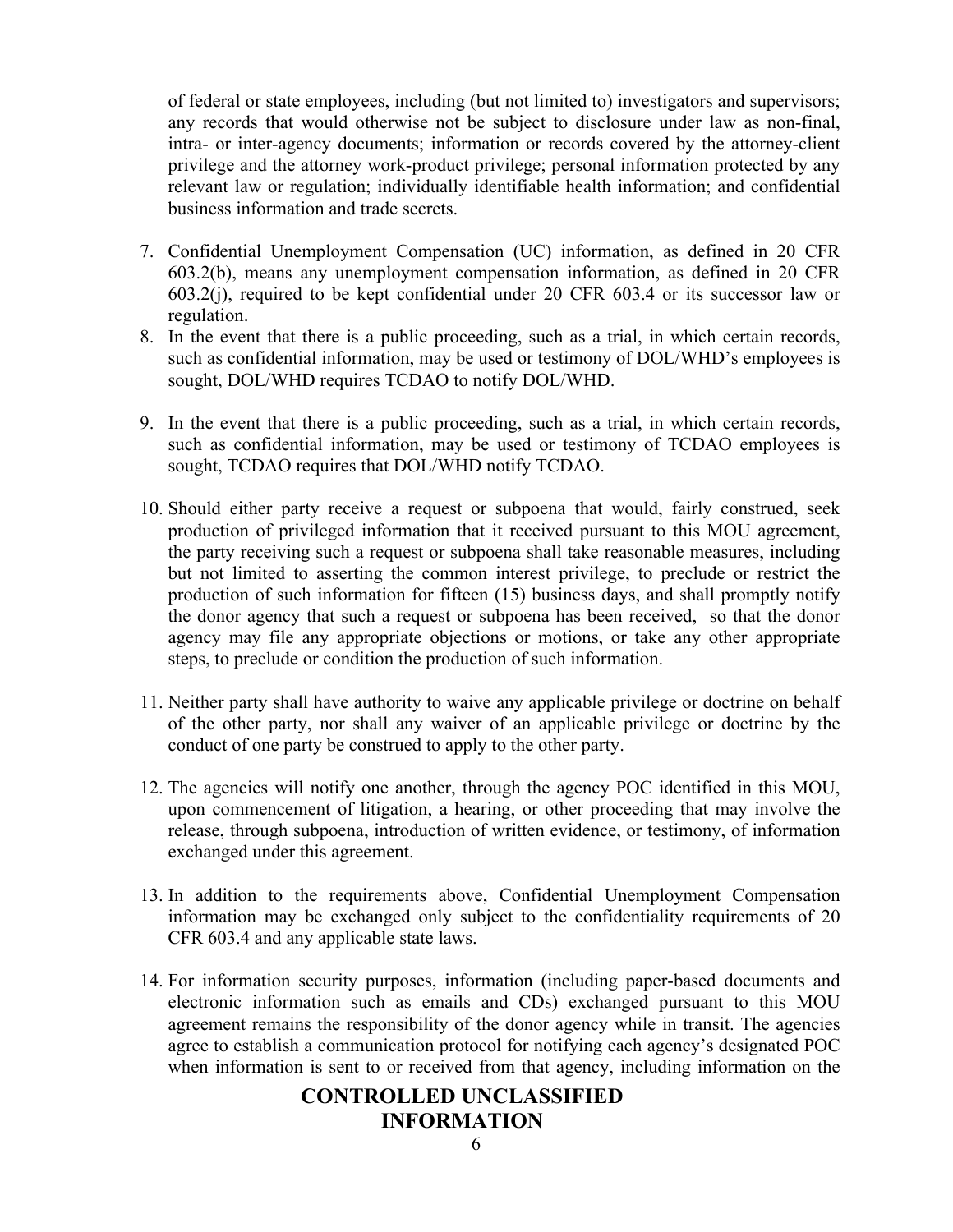of federal or state employees, including (but not limited to) investigators and supervisors; any records that would otherwise not be subject to disclosure under law as non-final, intra- or inter-agency documents; information or records covered by the attorney-client privilege and the attorney work-product privilege; personal information protected by any relevant law or regulation; individually identifiable health information; and confidential business information and trade secrets.

- 7. Confidential Unemployment Compensation (UC) information, as defined in 20 CFR 603.2(b), means any unemployment compensation information, as defined in 20 CFR 603.2(j), required to be kept confidential under 20 CFR 603.4 or its successor law or regulation.
- 8. In the event that there is a public proceeding, such as a trial, in which certain records, such as confidential information, may be used or testimony of DOL/WHD's employees is sought, DOL/WHD requires TCDAO to notify DOL/WHD.
- 9. In the event that there is a public proceeding, such as a trial, in which certain records, such as confidential information, may be used or testimony of TCDAO employees is sought, TCDAO requires that DOL/WHD notify TCDAO.
- 10. Should either party receive a request or subpoena that would, fairly construed, seek production of privileged information that it received pursuant to this MOU agreement, the party receiving such a request or subpoena shall take reasonable measures, including but not limited to asserting the common interest privilege, to preclude or restrict the production of such information for fifteen (15) business days, and shall promptly notify the donor agency that such a request or subpoena has been received, so that the donor agency may file any appropriate objections or motions, or take any other appropriate steps, to preclude or condition the production of such information.
- 11. Neither party shall have authority to waive any applicable privilege or doctrine on behalf of the other party, nor shall any waiver of an applicable privilege or doctrine by the conduct of one party be construed to apply to the other party.
- 12. The agencies will notify one another, through the agency POC identified in this MOU, upon commencement of litigation, a hearing, or other proceeding that may involve the release, through subpoena, introduction of written evidence, or testimony, of information exchanged under this agreement.
- 13. In addition to the requirements above, Confidential Unemployment Compensation information may be exchanged only subject to the confidentiality requirements of 20 CFR 603.4 and any applicable state laws.
- 14. For information security purposes, information (including paper-based documents and electronic information such as emails and CDs) exchanged pursuant to this MOU agreement remains the responsibility of the donor agency while in transit. The agencies agree to establish a communication protocol for notifying each agency's designated POC when information is sent to or received from that agency, including information on the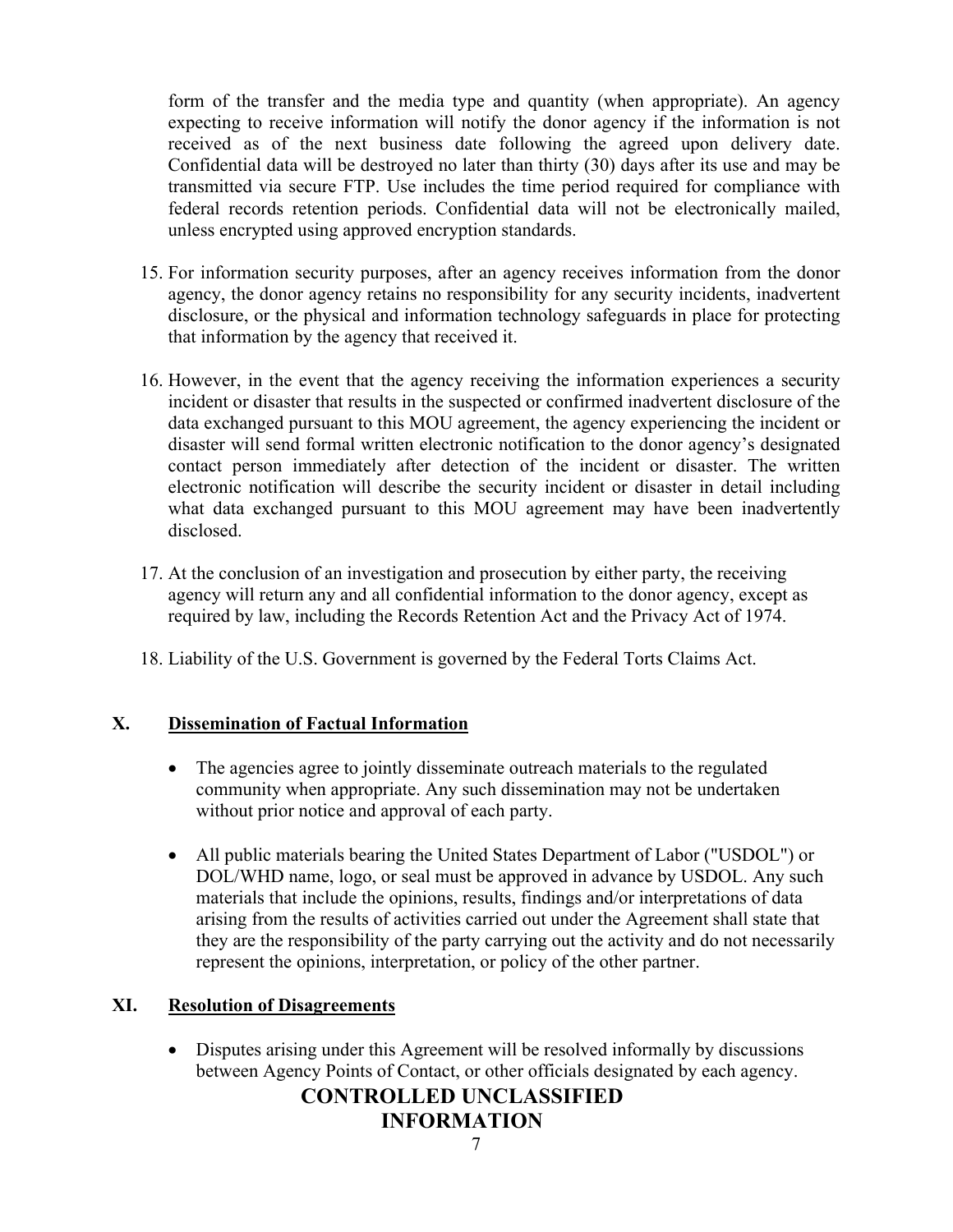form of the transfer and the media type and quantity (when appropriate). An agency expecting to receive information will notify the donor agency if the information is not received as of the next business date following the agreed upon delivery date. Confidential data will be destroyed no later than thirty (30) days after its use and may be transmitted via secure FTP. Use includes the time period required for compliance with federal records retention periods. Confidential data will not be electronically mailed, unless encrypted using approved encryption standards.

- 15. For information security purposes, after an agency receives information from the donor agency, the donor agency retains no responsibility for any security incidents, inadvertent disclosure, or the physical and information technology safeguards in place for protecting that information by the agency that received it.
- 16. However, in the event that the agency receiving the information experiences a security incident or disaster that results in the suspected or confirmed inadvertent disclosure of the data exchanged pursuant to this MOU agreement, the agency experiencing the incident or disaster will send formal written electronic notification to the donor agency's designated contact person immediately after detection of the incident or disaster. The written electronic notification will describe the security incident or disaster in detail including what data exchanged pursuant to this MOU agreement may have been inadvertently disclosed.
- 17. At the conclusion of an investigation and prosecution by either party, the receiving agency will return any and all confidential information to the donor agency, except as required by law, including the Records Retention Act and the Privacy Act of 1974.
- 18. Liability of the U.S. Government is governed by the Federal Torts Claims Act.

## **X. Dissemination of Factual Information**

- The agencies agree to jointly disseminate outreach materials to the regulated community when appropriate. Any such dissemination may not be undertaken without prior notice and approval of each party.
- All public materials bearing the United States Department of Labor ("USDOL") or DOL/WHD name, logo, or seal must be approved in advance by USDOL. Any such materials that include the opinions, results, findings and/or interpretations of data arising from the results of activities carried out under the Agreement shall state that they are the responsibility of the party carrying out the activity and do not necessarily represent the opinions, interpretation, or policy of the other partner.

## **XI. Resolution of Disagreements**

• Disputes arising under this Agreement will be resolved informally by discussions between Agency Points of Contact, or other officials designated by each agency.